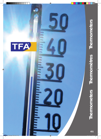

**TELETI** 

mini

**THEFT** 

199919

**Thermometers**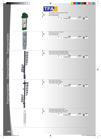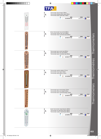

Thermometers Thermomètres